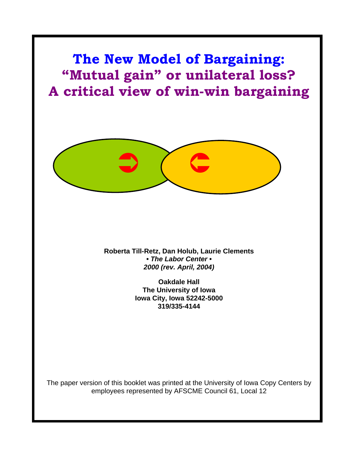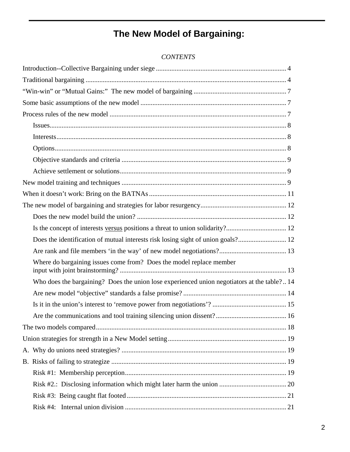# **The New Model of Bargaining:**

| Where do bargaining issues come from? Does the model replace member                         |  |
|---------------------------------------------------------------------------------------------|--|
| Who does the bargaining? Does the union lose experienced union negotiators at the table? 14 |  |
|                                                                                             |  |
|                                                                                             |  |
|                                                                                             |  |
|                                                                                             |  |
|                                                                                             |  |
|                                                                                             |  |
|                                                                                             |  |
|                                                                                             |  |
|                                                                                             |  |
|                                                                                             |  |
|                                                                                             |  |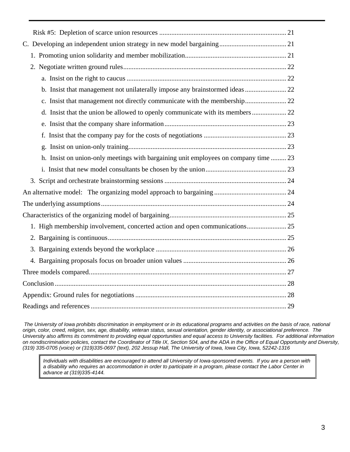| b. Insist that management not unilaterally impose any brainstormed ideas  22        |  |
|-------------------------------------------------------------------------------------|--|
| c. Insist that management not directly communicate with the membership 22           |  |
|                                                                                     |  |
|                                                                                     |  |
|                                                                                     |  |
|                                                                                     |  |
| h. Insist on union-only meetings with bargaining unit employees on company time  23 |  |
|                                                                                     |  |
|                                                                                     |  |
|                                                                                     |  |
|                                                                                     |  |
|                                                                                     |  |
| 1. High membership involvement, concerted action and open communications 25         |  |
|                                                                                     |  |
|                                                                                     |  |
|                                                                                     |  |
|                                                                                     |  |
|                                                                                     |  |
|                                                                                     |  |
|                                                                                     |  |

 *The University of Iowa prohibits discrimination in employment or in its educational programs and activities on the basis of race, national origin, color, creed, religion, sex, age, disability, veteran status, sexual orientation, gender identity, or associational preference. The University also affirms its commitment to providing equal opportunities and equal access to University facilities. For additional information on nondiscrimination policies, contact the Coordinator of Title IX, Section 504, and the ADA in the Office of Equal Opportunity and Diversity, (319) 335-0705 (voice) or (319)335-0697 (text), 202 Jessup Hall, The University of Iowa, Iowa City, Iowa, 52242-1316* 

*Individuals with disabilities are encouraged to attend all University of Iowa-sponsored events. If you are a person with a disability who requires an accommodation in order to participate in a program, please contact the Labor Center in advance at (319)335-4144.*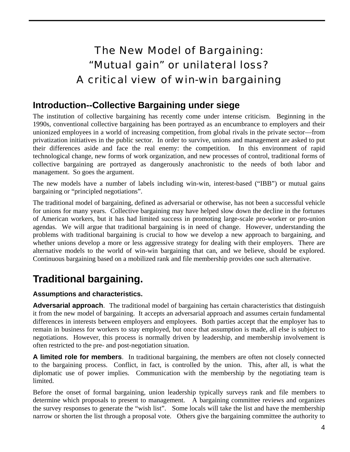# The New Model of Bargaining: "Mutual gain" or unilateral loss? A critical view of win-win bargaining

## **Introduction--Collective Bargaining under siege**

The institution of collective bargaining has recently come under intense criticism. Beginning in the 1990s, conventional collective bargaining has been portrayed as an encumbrance to employers and their unionized employees in a world of increasing competition, from global rivals in the private sector—from privatization initiatives in the public sector. In order to survive, unions and management are asked to put their differences aside and face the real enemy: the competition. In this environment of rapid technological change, new forms of work organization, and new processes of control, traditional forms of collective bargaining are portrayed as dangerously anachronistic to the needs of both labor and management. So goes the argument.

The new models have a number of labels including win-win, interest-based ("IBB") or mutual gains bargaining or "principled negotiations".

The traditional model of bargaining, defined as adversarial or otherwise, has not been a successful vehicle for unions for many years. Collective bargaining may have helped slow down the decline in the fortunes of American workers, but it has had limited success in promoting large-scale pro-worker or pro-union agendas. We will argue that traditional bargaining is in need of change. However, understanding the problems with traditional bargaining is crucial to how we develop a new approach to bargaining, and whether unions develop a more or less aggressive strategy for dealing with their employers. There are alternative models to the world of win-win bargaining that can, and we believe, should be explored. Continuous bargaining based on a mobilized rank and file membership provides one such alternative.

# **Traditional bargaining.**

## **Assumptions and characteristics.**

**Adversarial approach**. The traditional model of bargaining has certain characteristics that distinguish it from the new model of bargaining. It accepts an adversarial approach and assumes certain fundamental differences in interests between employers and employees. Both parties accept that the employer has to remain in business for workers to stay employed, but once that assumption is made, all else is subject to negotiations. However, this process is normally driven by leadership, and membership involvement is often restricted to the pre- and post-negotiation situation.

**A limited role for members**. In traditional bargaining, the members are often not closely connected to the bargaining process. Conflict, in fact, is controlled by the union. This, after all, is what the diplomatic use of power implies. Communication with the membership by the negotiating team is limited.

Before the onset of formal bargaining, union leadership typically surveys rank and file members to determine which proposals to present to management. A bargaining committee reviews and organizes the survey responses to generate the "wish list". Some locals will take the list and have the membership narrow or shorten the list through a proposal vote. Others give the bargaining committee the authority to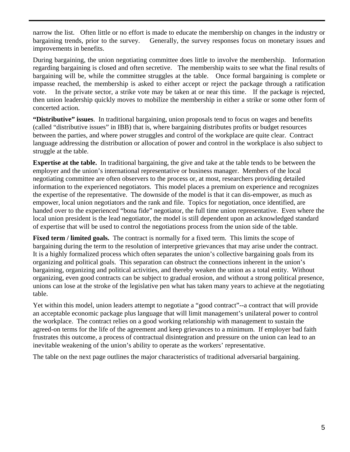narrow the list. Often little or no effort is made to educate the membership on changes in the industry or bargaining trends, prior to the survey. Generally, the survey responses focus on monetary issues and improvements in benefits.

During bargaining, the union negotiating committee does little to involve the membership. Information regarding bargaining is closed and often secretive. The membership waits to see what the final results of bargaining will be, while the committee struggles at the table. Once formal bargaining is complete or impasse reached, the membership is asked to either accept or reject the package through a ratification vote. In the private sector, a strike vote may be taken at or near this time. If the package is rejected, then union leadership quickly moves to mobilize the membership in either a strike or some other form of concerted action.

**"Distributive" issues**. In traditional bargaining, union proposals tend to focus on wages and benefits (called "distributive issues" in IBB) that is, where bargaining distributes profits or budget resources between the parties, and where power struggles and control of the workplace are quite clear. Contract language addressing the distribution or allocation of power and control in the workplace is also subject to struggle at the table.

**Expertise at the table.** In traditional bargaining, the give and take at the table tends to be between the employer and the union's international representative or business manager. Members of the local negotiating committee are often observers to the process or, at most, researchers providing detailed information to the experienced negotiators. This model places a premium on experience and recognizes the expertise of the representative. The downside of the model is that it can dis-empower, as much as empower, local union negotiators and the rank and file. Topics for negotiation, once identified, are handed over to the experienced "bona fide" negotiator, the full time union representative. Even where the local union president is the lead negotiator, the model is still dependent upon an acknowledged standard of expertise that will be used to control the negotiations process from the union side of the table.

**Fixed term / limited goals.** The contract is normally for a fixed term. This limits the scope of bargaining during the term to the resolution of interpretive grievances that may arise under the contract. It is a highly formalized process which often separates the union's collective bargaining goals from its organizing and political goals. This separation can obstruct the connections inherent in the union's bargaining, organizing and political activities, and thereby weaken the union as a total entity. Without organizing, even good contracts can be subject to gradual erosion, and without a strong political presence, unions can lose at the stroke of the legislative pen what has taken many years to achieve at the negotiating table.

Yet within this model, union leaders attempt to negotiate a "good contract"--a contract that will provide an acceptable economic package plus language that will limit management's unilateral power to control the workplace. The contract relies on a good working relationship with management to sustain the agreed-on terms for the life of the agreement and keep grievances to a minimum. If employer bad faith frustrates this outcome, a process of contractual disintegration and pressure on the union can lead to an inevitable weakening of the union's ability to operate as the workers' representative.

The table on the next page outlines the major characteristics of traditional adversarial bargaining.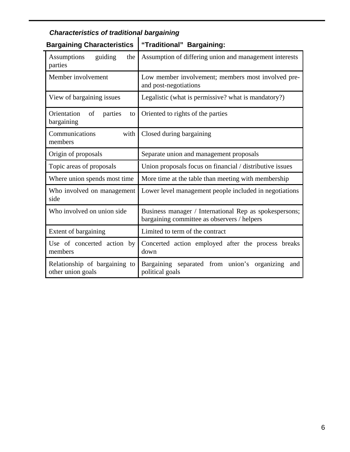| <b>Bargaining Characteristics</b>                  | "Traditional" Bargaining:                                                                             |  |
|----------------------------------------------------|-------------------------------------------------------------------------------------------------------|--|
| guiding<br><b>Assumptions</b><br>the<br>parties    | Assumption of differing union and management interests                                                |  |
| Member involvement                                 | Low member involvement; members most involved pre-<br>and post-negotiations                           |  |
| View of bargaining issues                          | Legalistic (what is permissive? what is mandatory?)                                                   |  |
| Orientation<br>of<br>parties<br>to<br>bargaining   | Oriented to rights of the parties                                                                     |  |
| Communications<br>with<br>members                  | Closed during bargaining                                                                              |  |
| Origin of proposals                                | Separate union and management proposals                                                               |  |
| Topic areas of proposals                           | Union proposals focus on financial / distributive issues                                              |  |
| Where union spends most time                       | More time at the table than meeting with membership                                                   |  |
| Who involved on management<br>side                 | Lower level management people included in negotiations                                                |  |
| Who involved on union side                         | Business manager / International Rep as spokespersons;<br>bargaining committee as observers / helpers |  |
| Extent of bargaining                               | Limited to term of the contract                                                                       |  |
| Use of concerted action by<br>members              | Concerted action employed after the process breaks<br>down                                            |  |
| Relationship of bargaining to<br>other union goals | Bargaining separated from union's<br>organizing<br>and<br>political goals                             |  |

## *Characteristics of traditional bargaining*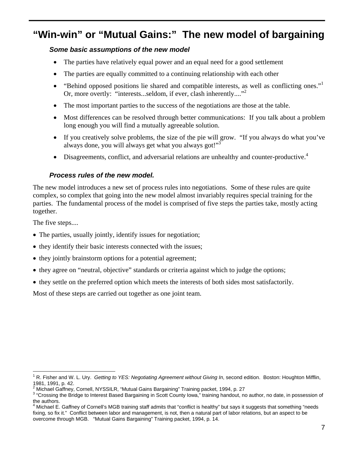## **"Win-win" or "Mutual Gains:" The new model of bargaining**

## *Some basic assumptions of the new model*

- The parties have relatively equal power and an equal need for a good settlement
- The parties are equally committed to a continuing relationship with each other
- "Behind opposed positions lie shared and compatible interests, as well as conflicting ones." Or, more overtly: "interests...seldom, if ever, clash inherently...."<sup>[2](#page-6-1)</sup>
- The most important parties to the success of the negotiations are those at the table.
- Most differences can be resolved through better communications: If you talk about a problem long enough you will find a mutually agreeable solution.
- If you creatively solve problems, the size of the pie will grow. "If you always do what you've always done, you will always get what you always got!"<sup>[3](#page-6-2)</sup>
- Disagreements, conflict, and adversarial relations are unhealthy and counter-productive.<sup>[4](#page-6-3)</sup>

## *Process rules of the new model.*

The new model introduces a new set of process rules into negotiations. Some of these rules are quite complex, so complex that going into the new model almost invariably requires special training for the parties. The fundamental process of the model is comprised of five steps the parties take, mostly acting together.

The five steps....

1

- The parties, usually jointly, identify issues for negotiation;
- they identify their basic interests connected with the issues;
- they jointly brainstorm options for a potential agreement;
- they agree on "neutral, objective" standards or criteria against which to judge the options;
- they settle on the preferred option which meets the interests of both sides most satisfactorily.

Most of these steps are carried out together as one joint team.

<span id="page-6-0"></span><sup>1</sup> R. Fisher and W. L. Ury. *Getting to YES: Negotiating Agreement without Giving In*, second edition. Boston: Houghton Mifflin,

<span id="page-6-1"></span><sup>1981, 1991,</sup> p. 42.<br><sup>2</sup> Michael Gaffney, Cornell, NYSSILR, "Mutual Gains Bargaining" Training packet, 1994, p. 27<br><sup>3</sup> "Cressing the Bridge to Interest Besed Bergeining in Seett County laws " training bandout, ps

<span id="page-6-2"></span><sup>&</sup>lt;sup>3</sup> "Crossing the Bridge to Interest Based Bargaining in Scott County Iowa," training handout, no author, no date, in possession of

<span id="page-6-3"></span>the authors.<br><sup>4</sup> Michael E. Gaffney of Cornell's MGB training staff admits that "conflict is healthy" but says it suggests that something "needs fixing, so fix it." Conflict between labor and management, is not, then a natural part of labor relations, but an aspect to be overcome through MGB. "Mutual Gains Bargaining" Training packet, 1994, p. 14.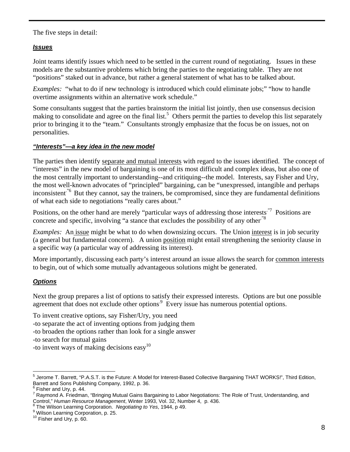The five steps in detail:

#### *Issues*

Joint teams identify issues which need to be settled in the current round of negotiating. Issues in these models are the substantive problems which bring the parties to the negotiating table. They are not "positions" staked out in advance, but rather a general statement of what has to be talked about.

*Examples:* "what to do if new technology is introduced which could eliminate jobs;" "how to handle overtime assignments within an alternative work schedule."

Some consultants suggest that the parties brainstorm the initial list jointly, then use consensus decision making to consolidate and agree on the final list.<sup>[5](#page-7-0)</sup> Others permit the parties to develop this list separately prior to bringing it to the "team." Consultants strongly emphasize that the focus be on issues, not on personalities.

#### *"Interests"—a key idea in the new model*

The parties then identify separate and mutual interests with regard to the issues identified. The concept of "interests" in the new model of bargaining is one of its most difficult and complex ideas, but also one of the most centrally important to understanding--and critiquing--the model. Interests, say Fisher and Ury, the most well-known advocates of "principled" bargaining, can be "unexpressed, intangible and perhaps inconsistent.<sup>"6</sup> But they cannot, say the trainers, be compromised, since they are fundamental definitions of what each side to negotiations "really cares about."

Positions, on the other hand are merely "particular ways of addressing those interests."<sup>7</sup> Positions are concrete and specific, involving "a stance that excludes the possibility of any other.<sup>"8</sup>

*Examples:* An *issue* might be what to do when downsizing occurs. The Union *interest* is in job security (a general but fundamental concern). A union position might entail strengthening the seniority clause in a specific way (a particular way of addressing its interest).

More importantly, discussing each party's interest around an issue allows the search for common interests to begin, out of which some mutually advantageous solutions might be generated.

## *Options*

Next the group prepares a list of options to satisfy their expressed interests. Options are but one possible agreement that does not exclude other options.<sup>9</sup> Every issue has numerous potential options.

To invent creative options, say Fisher/Ury, you need

- -to separate the act of inventing options from judging them
- -to broaden the options rather than look for a single answer

-to search for mutual gains

-to invent ways of making decisions easy  $10$ 

<span id="page-7-0"></span> 5 Jerome T. Barrett, "P.A.S.T. is the Future: A Model for Interest-Based Collective Bargaining THAT WORKS!", Third Edition, Barrett and Sons Publishing Company, 1992, p. 36.

<span id="page-7-1"></span> $<sup>6</sup>$  Fisher and Ury, p. 44.</sup>

<span id="page-7-2"></span><sup>&</sup>lt;sup>7</sup> Raymond A. Friedman, "Bringing Mutual Gains Bargaining to Labor Negotiations: The Role of Trust, Understanding, and Control," *Human Resource Management*, Winter 1993, Vol. 32, Number 4, p. 436.

<span id="page-7-3"></span>The Wilson Learning Corporation. Negotiating to Yes, 1944, p 49.

<span id="page-7-4"></span><sup>&</sup>lt;sup>9</sup> Wilson Learning Corporation, p. 25.<br><sup>10</sup> Fisher and Ury, p. 60.

<span id="page-7-5"></span>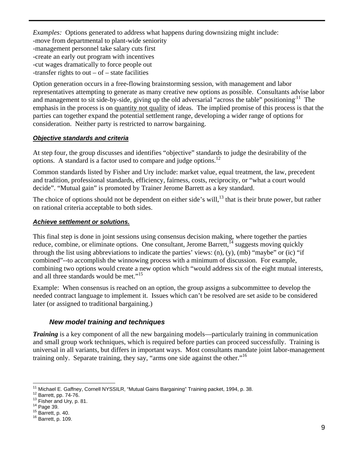*Examples:* Options generated to address what happens during downsizing might include: -move from departmental to plant-wide seniority -management personnel take salary cuts first -create an early out program with incentives -cut wages dramatically to force people out -transfer rights to out  $-$  of  $-$  state facilities

Option generation occurs in a free-flowing brainstorming session, with management and labor representatives attempting to generate as many creative new options as possible. Consultants advise labor and management to sit side-by-side, giving up the old adversarial "across the table" positioning<sup>11</sup> The emphasis in the process is on quantity not quality of ideas. The implied promise of this process is that the parties can together expand the potential settlement range, developing a wider range of options for consideration. Neither party is restricted to narrow bargaining.

#### *Objective standards and criteria*

At step four, the group discusses and identifies "objective" standards to judge the desirability of the options. A standard is a factor used to compare and judge options.<sup>12</sup>

Common standards listed by Fisher and Ury include: market value, equal treatment, the law, precedent and tradition, professional standards, efficiency, fairness, costs, reciprocity, or "what a court would decide". "Mutual gain" is promoted by Trainer Jerome Barrett as a key standard.

The choice of options should not be dependent on either side's will,  $^{13}$  that is their brute power, but rather on rational criteria acceptable to both sides.

#### *Achieve settlement or solutions.*

This final step is done in joint sessions using consensus decision making, where together the parties reduce, combine, or eliminate options. One consultant, Jerome Barrett,  $^{14}$  suggests moving quickly through the list using abbreviations to indicate the parties' views: (n), (y), (mb) "maybe" or (ic) "if combined"--to accomplish the winnowing process with a minimum of discussion. For example, combining two options would create a new option which "would address six of the eight mutual interests, and all three standards would be met."<sup>[15](#page-8-4)</sup>

Example: When consensus is reached on an option, the group assigns a subcommittee to develop the needed contract language to implement it. Issues which can't be resolved are set aside to be considered later (or assigned to traditional bargaining.)

## *New model training and techniques*

*Training* is a key component of all the new bargaining models—particularly training in communication and small group work techniques, which is required before parties can proceed successfully. Training is universal in all variants, but differs in important ways. Most consultants mandate joint labor-management training only. Separate training, they say, "arms one side against the other."<sup>[16](#page-8-5)</sup>

<sup>1</sup> <sup>11</sup> Michael E. Gaffney, Cornell NYSSILR, "Mutual Gains Bargaining" Training packet, 1994, p. 38.<br><sup>12</sup> Barrett, pp. 74-76.<br><sup>13</sup> Fisher and Ury, p. 81.<br><sup>14</sup> Page 39. 15 Barrett, p. 40. 16 Barrett, p. 109.

<span id="page-8-1"></span><span id="page-8-0"></span>

<span id="page-8-2"></span>

<span id="page-8-3"></span>

<span id="page-8-4"></span>

<span id="page-8-5"></span>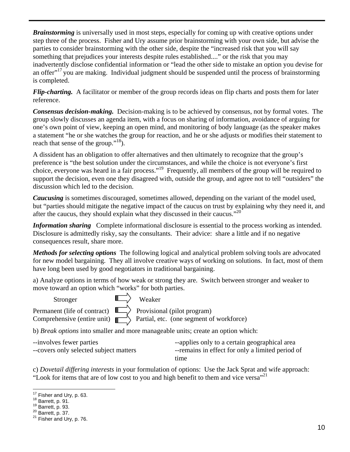*Brainstorming* is universally used in most steps, especially for coming up with creative options under step three of the process. Fisher and Ury assume prior brainstorming with your own side, but advise the parties to consider brainstorming with the other side, despite the "increased risk that you will say something that prejudices your interests despite rules established...." or the risk that you may inadvertently disclose confidential information or "lead the other side to mistake an option you devise for an offer $17$  you are making. Individual judgment should be suspended until the process of brainstorming is completed.

*Flip-charting.* A facilitator or member of the group records ideas on flip charts and posts them for later reference.

*Consensus decision-making.* Decision-making is to be achieved by consensus, not by formal votes. The group slowly discusses an agenda item, with a focus on sharing of information, avoidance of arguing for one's own point of view, keeping an open mind, and monitoring of body language (as the speaker makes a statement "he or she watches the group for reaction, and he or she adjusts or modifies their statement to reach that sense of the group."<sup>18</sup>).

A dissident has an obligation to offer alternatives and then ultimately to recognize that the group's preference is "the best solution under the circumstances, and while the choice is not everyone's first choice, everyone was heard in a fair process."[19](#page-9-2) Frequently, all members of the group will be required to support the decision, even one they disagreed with, outside the group, and agree not to tell "outsiders" the discussion which led to the decision.

*Caucusing* is sometimes discouraged, sometimes allowed, depending on the variant of the model used, but "parties should mitigate the negative impact of the caucus on trust by explaining why they need it, and after the caucus, they should explain what they discussed in their caucus."<sup>[20](#page-9-3)</sup>

*Information sharing* Complete informational disclosure is essential to the process working as intended. Disclosure is admittedly risky, say the consultants. Their advice: share a little and if no negative consequences result, share more.

*Methods for selecting options* The following logical and analytical problem solving tools are advocated for new model bargaining. They all involve creative ways of working on solutions. In fact, most of them have long been used by good negotiators in traditional bargaining.

a) Analyze options in terms of how weak or strong they are. Switch between stronger and weaker to move toward an option which "works" for both parties.

Stronger  $\mathbb{I}\longrightarrow$  Weaker

Permanent (life of contract)  $\overrightarrow{I}$  Provisional (pilot program) Comprehensive (entire unit)  $\| \rightarrow$  Partial, etc. (one segment of workforce)

b) *Break options* into smaller and more manageable units; create an option which:

| --involves fewer parties               | --applies only to a certain geographical area    |
|----------------------------------------|--------------------------------------------------|
| --covers only selected subject matters | --remains in effect for only a limited period of |
|                                        | time                                             |

c) *Dovetail differing interests* in your formulation of options: Use the Jack Sprat and wife approach: "Look for items that are of low cost to you and high benefit to them and vice versa"<sup>21</sup>

<span id="page-9-1"></span>

<sup>&</sup>lt;sup>17</sup> Fisher and Ury, p. 63.<br><sup>18</sup> Barrett, p. 91.<br><sup>29</sup> Barrett, p. 93.<br><sup>21</sup> Fisher and Ury, p. 76.

<span id="page-9-0"></span>

<span id="page-9-2"></span>

<span id="page-9-3"></span>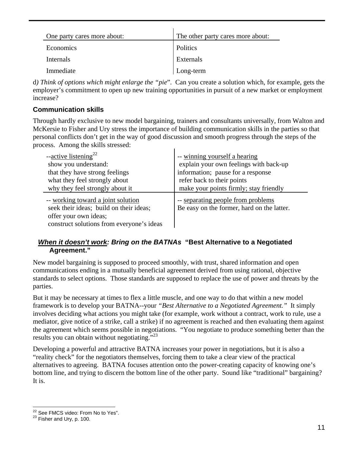| One party cares more about: | The other party cares more about: |
|-----------------------------|-----------------------------------|
| Economics                   | Politics                          |
| Internals                   | Externals                         |
| Immediate                   | Long-term                         |

d*) Think of options which might enlarge the "pie*". Can you create a solution which, for example, gets the employer's commitment to open up new training opportunities in pursuit of a new market or employment increase?

## **Communication skills**

Through hardly exclusive to new model bargaining, trainers and consultants universally, from Walton and McKersie to Fisher and Ury stress the importance of building communication skills in the parties so that personal conflicts don't get in the way of good discussion and smooth progress through the steps of the process. Among the skills stressed:

| $-\text{active listening}^{22}$           | -- winning yourself a hearing              |
|-------------------------------------------|--------------------------------------------|
| show you understand:                      | explain your own feelings with back-up     |
| that they have strong feelings            | information; pause for a response          |
| what they feel strongly about             | refer back to their points                 |
| why they feel strongly about it           | make your points firmly; stay friendly     |
| -- working toward a joint solution        | -- separating people from problems         |
| seek their ideas; build on their ideas;   | Be easy on the former, hard on the latter. |
| offer your own ideas;                     |                                            |
| construct solutions from everyone's ideas |                                            |

## *When it doesn't work: Bring on the BATNAs* **"Best Alternative to a Negotiated Agreement."**

New model bargaining is supposed to proceed smoothly, with trust, shared information and open communications ending in a mutually beneficial agreement derived from using rational, objective standards to select options. Those standards are supposed to replace the use of power and threats by the parties.

But it may be necessary at times to flex a little muscle, and one way to do that within a new model framework is to develop your BATNA--your *"Best Alternative to a Negotiated Agreement."* It simply involves deciding what actions you might take (for example, work without a contract, work to rule, use a mediator, give notice of a strike, call a strike) if no agreement is reached and then evaluating them against the agreement which seems possible in negotiations. "You negotiate to produce something better than the results you can obtain without negotiating."<sup>23</sup>

Developing a powerful and attractive BATNA increases your power in negotiations, but it is also a "reality check" for the negotiators themselves, forcing them to take a clear view of the practical alternatives to agreeing. BATNA focuses attention onto the power-creating capacity of knowing one's bottom line, and trying to discern the bottom line of the other party. Sound like "traditional" bargaining? It is.

<span id="page-10-0"></span><sup>1</sup> <sup>22</sup> See FMCS video: From No to Yes".<br><sup>23</sup> Fisher and Ury, p. 100.

<span id="page-10-1"></span>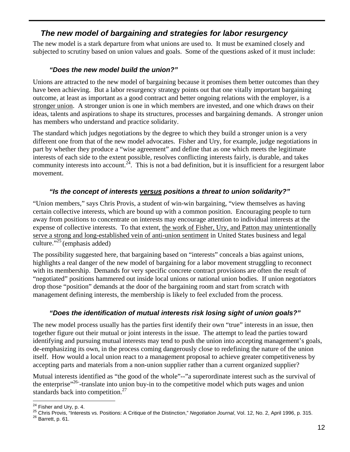## *The new model of bargaining and strategies for labor resurgency*

The new model is a stark departure from what unions are used to. It must be examined closely and subjected to scrutiny based on union values and goals. Some of the questions asked of it must include:

## *"Does the new model build the union?"*

Unions are attracted to the new model of bargaining because it promises them better outcomes than they have been achieving. But a labor resurgency strategy points out that one vitally important bargaining outcome, at least as important as a good contract and better ongoing relations with the employer, is a stronger union. A stronger union is one in which members are invested, and one which draws on their ideas, talents and aspirations to shape its structures, processes and bargaining demands. A stronger union has members who understand and practice solidarity.

The standard which judges negotiations by the degree to which they build a stronger union is a very different one from that of the new model advocates. Fisher and Ury, for example, judge negotiations in part by whether they produce a "wise agreement" and define that as one which meets the legitimate interests of each side to the extent possible, resolves conflicting interests fairly, is durable, and takes community interests into account.<sup>24</sup>. This is not a bad definition, but it is insufficient for a resurgent labor movement.

## *"Is the concept of interests versus positions a threat to union solidarity?"*

"Union members," says Chris Provis, a student of win-win bargaining, "view themselves as having certain collective interests, which are bound up with a common position. Encouraging people to turn away from positions to concentrate on interests may encourage attention to individual interests at the expense of collective interests. To that extent, the work of Fisher, Ury, and Patton may unintentionally serve a strong and long-established vein of anti-union sentiment in United States business and legal culture." $^{25}$  (emphasis added)

The possibility suggested here, that bargaining based on "interests" conceals a bias against unions, highlights a real danger of the new model of bargaining for a labor movement struggling to reconnect with its membership. Demands for very specific concrete contract provisions are often the result of "negotiated" positions hammered out inside local unions or national union bodies. If union negotiators drop those "position" demands at the door of the bargaining room and start from scratch with management defining interests, the membership is likely to feel excluded from the process.

## *"Does the identification of mutual interests risk losing sight of union goals?"*

The new model process usually has the parties first identify their own "true" interests in an issue, then together figure out their mutual or joint interests in the issue. The attempt to lead the parties toward identifying and pursuing mutual interests may tend to push the union into accepting management's goals, de-emphasizing its own, in the process coming dangerously close to redefining the nature of the union itself. How would a local union react to a management proposal to achieve greater competitiveness by accepting parts and materials from a non-union supplier rather than a current organized supplier?

Mutual interests identified as "the good of the whole"--"a superordinate interest such as the survival of the enterprise<sup> $26$ </sup>-translate into union buy-in to the competitive model which puts wages and union standards back into competition. $27$ 

<span id="page-11-3"></span><sup>1</sup> 

<span id="page-11-2"></span><span id="page-11-1"></span><span id="page-11-0"></span><sup>&</sup>lt;sup>24</sup> Fisher and Ury, p. 4.<br><sup>25</sup> Chris Provis, "Interests vs. Positions: A Critique of the Distinction," *Negotiation Journal*, Vol. 12, No. 2, April 1996, p. 315.<br><sup>26</sup> Barrett, p. 61.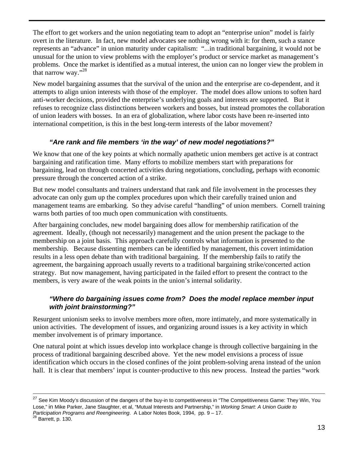The effort to get workers and the union negotiating team to adopt an "enterprise union" model is fairly overt in the literature. In fact, new model advocates see nothing wrong with it: for them, such a stance represents an "advance" in union maturity under capitalism: "...in traditional bargaining, it would not be unusual for the union to view problems with the employer's product or service market as management's problems. Once the market is identified as a mutual interest, the union can no longer view the problem in that narrow way."[28](#page-12-0)

New model bargaining assumes that the survival of the union and the enterprise are co-dependent, and it attempts to align union interests with those of the employer. The model does allow unions to soften hard anti-worker decisions, provided the enterprise's underlying goals and interests are supported. But it refuses to recognize class distinctions between workers and bosses, but instead promotes the collaboration of union leaders with bosses. In an era of globalization, where labor costs have been re-inserted into international competition, is this in the best long-term interests of the labor movement?

## *"Are rank and file members 'in the way' of new model negotiations?"*

We know that one of the key points at which normally apathetic union members get active is at contract bargaining and ratification time. Many efforts to mobilize members start with preparations for bargaining, lead on through concerted activities during negotiations, concluding, perhaps with economic pressure through the concerted action of a strike.

But new model consultants and trainers understand that rank and file involvement in the processes they advocate can only gum up the complex procedures upon which their carefully trained union and management teams are embarking. So they advise careful "handling" of union members. Cornell training warns both parties of too much open communication with constituents.

After bargaining concludes, new model bargaining does allow for membership ratification of the agreement. Ideally, (though not necessarily) management and the union present the package to the membership on a joint basis. This approach carefully controls what information is presented to the membership. Because dissenting members can be identified by management, this covert intimidation results in a less open debate than with traditional bargaining. If the membership fails to ratify the agreement, the bargaining approach usually reverts to a traditional bargaining strike/concerted action strategy. But now management, having participated in the failed effort to present the contract to the members, is very aware of the weak points in the union's internal solidarity.

## *"Where do bargaining issues come from? Does the model replace member input with joint brainstorming?"*

Resurgent unionism seeks to involve members more often, more intimately, and more systematically in union activities. The development of issues, and organizing around issues is a key activity in which member involvement is of primary importance.

One natural point at which issues develop into workplace change is through collective bargaining in the process of traditional bargaining described above. Yet the new model envisions a process of issue identification which occurs in the closed confines of the joint problem-solving arena instead of the union hall. It is clear that members' input is counter-productive to this new process. Instead the parties "work

l

<span id="page-12-0"></span> $^{27}$  See Kim Moody's discussion of the dangers of the buy-in to competitiveness in "The Competitiveness Game: They Win, You Lose," in Mike Parker, Jane Slaughter, et al, "Mutual Interests and Partnership," in *Working Smart: A Union Guide to Participation Programs and Reengineering.* A Labor Notes Book, 1994, pp. 9 – 17.<br><sup>28</sup> Barrett, p. 130.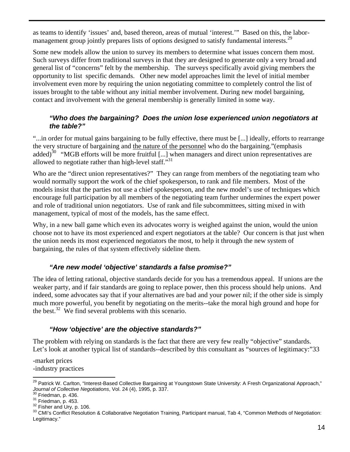as teams to identify 'issues' and, based thereon, areas of mutual 'interest.'" Based on this, the labor-management group jointly prepares lists of options designed to satisfy fundamental interests.<sup>[29](#page-13-0)</sup>

Some new models allow the union to survey its members to determine what issues concern them most. Such surveys differ from traditional surveys in that they are designed to generate only a very broad and general list of "concerns" felt by the membership. The surveys specifically avoid giving members the opportunity to list specific demands. Other new model approaches limit the level of initial member involvement even more by requiring the union negotiating committee to completely control the list of issues brought to the table without any initial member involvement. During new model bargaining, contact and involvement with the general membership is generally limited in some way.

#### *"Who does the bargaining? Does the union lose experienced union negotiators at the table?"*

"...in order for mutual gains bargaining to be fully effective, there must be [...] ideally, efforts to rearrange the very structure of bargaining and the nature of the personnel who do the bargaining."(emphasis added)<sup>30</sup> "MGB efforts will be more fruitful [...] when managers and direct union representatives are allowed to negotiate rather than high-level staff."<sup>31</sup>

Who are the "direct union representatives?" They can range from members of the negotiating team who would normally support the work of the chief spokesperson, to rank and file members. Most of the models insist that the parties not use a chief spokesperson, and the new model's use of techniques which encourage full participation by all members of the negotiating team further undermines the expert power and role of traditional union negotiators. Use of rank and file subcommittees, sitting mixed in with management, typical of most of the models, has the same effect.

Why, in a new ball game which even its advocates worry is weighed against the union, would the union choose not to have its most experienced and expert negotiators at the table? Our concern is that just when the union needs its most experienced negotiators the most, to help it through the new system of bargaining, the rules of that system effectively sideline them.

## *"Are new model 'objective' standards a false promise?"*

The idea of letting rational, objective standards decide for you has a tremendous appeal. If unions are the weaker party, and if fair standards are going to replace power, then this process should help unions. And indeed, some advocates say that if your alternatives are bad and your power nil; if the other side is simply much more powerful, you benefit by negotiating on the merits--take the moral high ground and hope for the best.<sup>32</sup> We find several problems with this scenario.

## *"How 'objective' are the objective standards?"*

The problem with relying on standards is the fact that there are very few really "objective" standards. Let's look at another typical list of standards--described by this consultant as "sources of legitimacy:["33](#page-13-4) 

-market prices -industry practices 1

<span id="page-13-0"></span><sup>&</sup>lt;sup>29</sup> Patrick W. Carlton, "Interest-Based Collective Bargaining at Youngstown State University: A Fresh Organizational Approach," Journal of Collective Negotiations, Vol. 24 (4), 1995, p. 337.<br><sup>30</sup> Friedman, p. 436.<br><sup>31</sup> Friedman, p. 453.<br><sup>32</sup> Fisher and Ury, p. 106.<br><sup>33</sup> CMI's Conflict Resolution & Collaborative Negotiation Training, Participant man

<span id="page-13-1"></span>

<span id="page-13-2"></span>

<span id="page-13-3"></span>

<span id="page-13-4"></span>Legitimacy."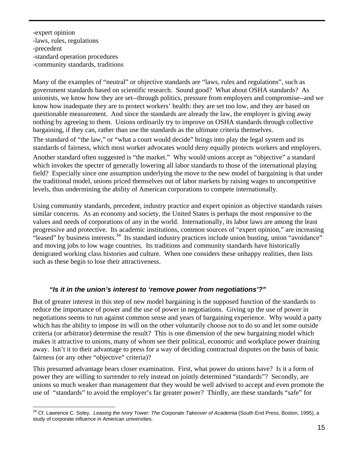-expert opinion -laws, rules, regulations -precedent -standard operation procedures -community standards, traditions

Many of the examples of "neutral" or objective standards are "laws, rules and regulations", such as government standards based on scientific research. Sound good? What about OSHA standards? As unionists, we know how they are set--through politics, pressure from employers and compromise--and we know how inadequate they are to protect workers' health: they are set too low, and they are based on questionable measurement. And since the standards are already the law, the employer is giving away nothing by agreeing to them. Unions ordinarily try to improve on OSHA standards through collective bargaining, if they can, rather than use the standards as the ultimate criteria themselves.

The standard of "the law," or "what a court would decide" brings into play the legal system and its standards of fairness, which most worker advocates would deny equally protects workers and employers.

Another standard often suggested is "the market." Why would unions accept as "objective" a standard which invokes the specter of generally lowering all labor standards to those of the international playing field? Especially since one assumption underlying the move to the new model of bargaining is that under the traditional model, unions priced themselves out of labor markets by raising wages to uncompetitive levels, thus undermining the ability of American corporations to compete internationally.

Using community standards, precedent, industry practice and expert opinion as objective standards raises similar concerns. As an economy and society, the United States is perhaps the most responsive to the values and needs of corporations of any in the world. Internationally, its labor laws are among the least progressive and protective. Its academic institutions, common sources of "expert opinion," are increasing "leased" by business interests.<sup>34</sup> Its standard industry practices include union busting, union "avoidance" and moving jobs to low wage [cou](#page-14-0)ntries. Its traditions and community standards have historically denigrated working class histories and culture. When one considers these unhappy realities, then lists such as these begin to lose their attractiveness.

## *"Is it in the union's interest to 'remove power from negotiations'?"*

But of greater interest in this step of new model bargaining is the supposed function of the standards to reduce the importance of power and the use of power in negotiations. Giving up the use of power in negotiations seems to run against common sense and years of bargaining experience. Why would a party which has the ability to impose its will on the other voluntarily choose not to do so and let some outside criteria (or arbitrator) determine the result? This is one dimension of the new bargaining model which makes it attractive to unions, many of whom see their political, economic and workplace power draining away. Isn't it to their advantage to press for a way of deciding contractual disputes on the basis of basic fairness (or any other "objective" criteria)?

This presumed advantage bears closer examination. First, what power do unions have? Is it a form of power they are willing to surrender to rely instead on jointly determined "standards"? Secondly, are unions so much weaker than management that they would be well advised to accept and even promote the use of "standards" to avoid the employer's far greater power? Thirdly, are these standards "safe" for

<span id="page-14-0"></span><sup>1</sup> <sup>34</sup> Cf. Lawrence C. Soley, *Leasing the Ivory Tower: The Corporate Takeover of Academia* (South End Press, Boston, 1995), a study of corporate influence in American universities.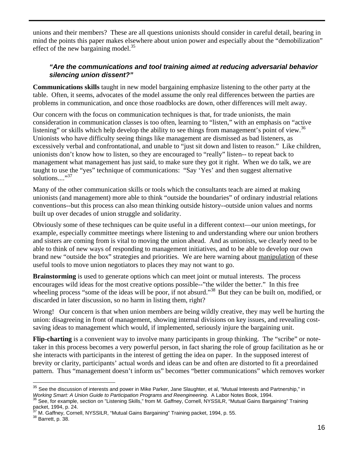unions and their members? These are all questions unionists should consider in careful detail, bearing in mind the points this paper makes elsewhere about union power and especially about the "demobilization" effect of the new bargaining model. $35$ 

## *"Are the communications and tool training aimed at reducing adversarial behavior silencing union dissent?"*

**Communications skills** taught in new model bargaining emphasize listening to the other party at the table. Often, it seems, advocates of the model assume the only real differences between the parties are problems in communication, and once those roadblocks are down, other differences will melt away.

Our concern with the focus on communication techniques is that, for trade unionists, the main consideration in communication classes is too often, learning to "listen," with an emphasis on "active listening" or skills which help develop the ability to see things from management's point of view.<sup>36</sup> Unionists who have difficulty seeing things like management are dismissed as bad listeners, as excessively verbal and confrontational, and unable to "just sit down and listen to reason." Like children, unionists don't know how to listen, so they are encouraged to "really" listen-- to repeat back to management what management has just said, to make sure they got it right. When we do talk, we are taught to use the "yes" technique of communications: "Say 'Yes' and then suggest alternative solutions...."<sup>[37](#page-15-2)</sup>

Many of the other communication skills or tools which the consultants teach are aimed at making unionists (and management) more able to think "outside the boundaries" of ordinary industrial relations conventions--but this process can also mean thinking outside history--outside union values and norms built up over decades of union struggle and solidarity.

Obviously some of these techniques can be quite useful in a different context—our union meetings, for example, especially committee meetings where listening to and understanding where our union brothers and sisters are coming from is vital to moving the union ahead. And as unionists, we clearly need to be able to think of new ways of responding to management initiatives, and to be able to develop our own brand new "outside the box" strategies and priorities. We are here warning about manipulation of these useful tools to move union negotiators to places they may not want to go.

**Brainstorming** is used to generate options which can meet joint or mutual interests. The process encourages wild ideas for the most creative options possible--"the wilder the better." In this free wheeling process "some of the ideas will be poor, if not absurd."<sup>38</sup> But they can be built on, modified, or discarded in later discussion, so no harm in listing them, right?

Wrong! Our concern is that when union members are being wildly creative, they may well be hurting the union: disagreeing in front of management, showing internal divisions on key issues, and revealing costsaving ideas to management which would, if implemented, seriously injure the bargaining unit.

**Flip-charting** is a convenient way to involve many participants in group thinking. The "scribe" or notetaker in this process becomes a very powerful person, in fact sharing the role of group facilitation as he or she interacts with participants in the interest of getting the idea on paper. In the supposed interest of brevity or clarity, participants' actual words and ideas can be and often are distorted to fit a preordained pattern. Thus "management doesn't inform us" becomes "better communications" which removes worker

1

<span id="page-15-0"></span> $35$  See the discussion of interests and power in Mike Parker, Jane Slaughter, et al, "Mutual Interests and Partnership," in Working Smart: A Union Guide to Participation Programs and Reengineering. at al, without interests and Partnership," in<br><sup>36</sup> See, for example, section on "Listening Skills," from M. Gaffney, Cornell, NYSSILR, "Mutual Gain

<span id="page-15-1"></span>packet, 1994, p. 24.

<span id="page-15-2"></span> $37$  M. Gaffney, Cornell, NYSSILR, "Mutual Gains Bargaining" Training packet, 1994, p. 55.  $38$  Barrett, p. 38.

<span id="page-15-3"></span>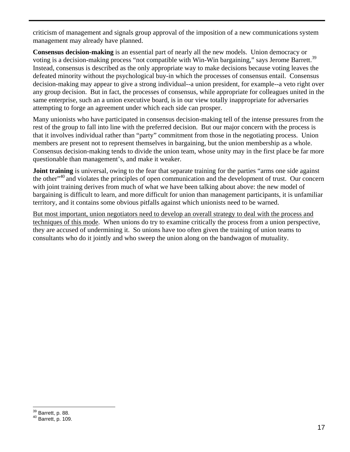criticism of management and signals group approval of the imposition of a new communications system management may already have planned.

**Consensus decision-making** is an essential part of nearly all the new models. Union democracy or voting is a decision-making process "not compatible with Win-Win bargaining," says Jerome Barrett.<sup>39</sup> Instead, consensus is described as the only appropriate way to make decisions because voting leaves the defeated minority without the psychological buy-in which the processes of consensus entail. Consensus decision-making may appear to give a strong individual--a union president, for example--a veto right over any group decision. But in fact, the processes of consensus, while appropriate for colleagues united in the same enterprise, such an a union executive board, is in our view totally inappropriate for adversaries attempting to forge an agreement under which each side can prosper.

Many unionists who have participated in consensus decision-making tell of the intense pressures from the rest of the group to fall into line with the preferred decision. But our major concern with the process is that it involves individual rather than "party" commitment from those in the negotiating process. Union members are present not to represent themselves in bargaining, but the union membership as a whole. Consensus decision-making tends to divide the union team, whose unity may in the first place be far more questionable than management's, and make it weaker.

**Joint training** is universal, owing to the fear that separate training for the parties "arms one side against the other<sup>"40</sup> and violates the principles of open communication and the development of trust. Our concern with joint training derives from much of what we have been talking about above: the new model of bargaining is difficult to learn, and more difficult for union than management participants, it is unfamiliar territory, and it contains some obvious pitfalls against which unionists need to be warned.

But most important, union negotiators need to develop an overall strategy to deal with the process and techniques of this mode. When unions do try to examine critically the process from a union perspective, they are accused of undermining it. So unions have too often given the training of union teams to consultants who do it jointly and who sweep the union along on the bandwagon of mutuality.

<span id="page-16-0"></span> $39$  Barrett, p. 88.

<span id="page-16-1"></span> $40$  Barrett, p. 109.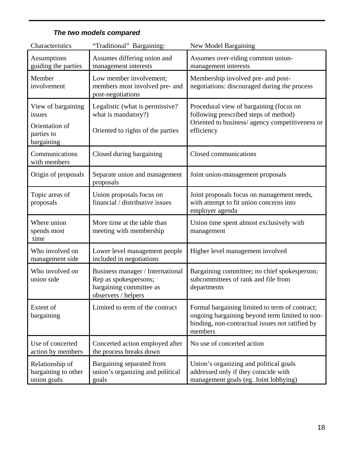| Characteristics                                       | "Traditional" Bargaining:                                                                                   | New Model Bargaining                                                                                                                                           |  |
|-------------------------------------------------------|-------------------------------------------------------------------------------------------------------------|----------------------------------------------------------------------------------------------------------------------------------------------------------------|--|
| Assumptions<br>guiding the parties                    | Assumes differing union and<br>management interests                                                         | Assumes over-riding common union-<br>management interests                                                                                                      |  |
| Member<br>involvement                                 | Low member involvement;<br>members most involved pre- and<br>post-negotiations                              | Membership involved pre- and post-<br>negotiations: discouraged during the process                                                                             |  |
| View of bargaining<br>issues                          | Legalistic (what is permissive?<br>what is mandatory?)                                                      | Procedural view of bargaining (focus on<br>following prescribed steps of method)                                                                               |  |
| Orientation of<br>parties to<br>bargaining            | Oriented to rights of the parties                                                                           | Oriented to business/ agency competitiveness or<br>efficiency                                                                                                  |  |
| Communications<br>with members                        | Closed during bargaining                                                                                    | Closed communications                                                                                                                                          |  |
| Origin of proposals                                   | Separate union and management<br>proposals                                                                  | Joint union-management proposals                                                                                                                               |  |
| Topic areas of<br>proposals                           | Union proposals focus on<br>financial / distributive issues                                                 | Joint proposals focus on management needs,<br>with attempt to fit union concerns into<br>employer agenda                                                       |  |
| Where union<br>spends most<br>time                    | More time at the table than<br>meeting with membership                                                      | Union time spent almost exclusively with<br>management                                                                                                         |  |
| Who involved on<br>management side                    | Lower level management people<br>included in negotiations                                                   | Higher level management involved                                                                                                                               |  |
| Who involved on<br>union side                         | Business manager / International<br>Rep as spokespersons;<br>bargaining committee as<br>observers / helpers | Bargaining committee; no chief spokesperson;<br>subcommittees of rank and file from<br>departments                                                             |  |
| Extent of<br>bargaining                               | Limited to term of the contract                                                                             | Formal bargaining limited to term of contract;<br>ongoing bargaining beyond term limited to non-<br>binding, non-contractual issues not ratified by<br>members |  |
| Use of concerted<br>action by members                 | Concerted action employed after<br>the process breaks down                                                  | No use of concerted action                                                                                                                                     |  |
| Relationship of<br>bargaining to other<br>union goals | Bargaining separated from<br>union's organizing and political<br>goals                                      | Union's organizing and political goals<br>addressed only if they coincide with<br>management goals (eg. Joint lobbying)                                        |  |

## *The two models compared*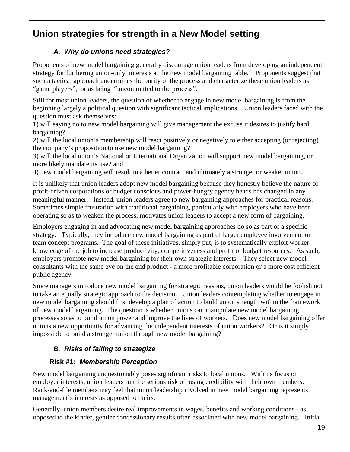## **Union strategies for strength in a New Model setting**

## *A. Why do unions need strategies?*

Proponents of new model bargaining generally discourage union leaders from developing an independent strategy for furthering union-only interests at the new model bargaining table. Proponents suggest that such a tactical approach undermines the purity of the process and characterize these union leaders as "game players", or as being "uncommitted to the process".

Still for most union leaders, the question of whether to engage in new model bargaining is from the beginning largely a political question with significant tactical implications. Union leaders faced with the question must ask themselves:

1) will saying no to new model bargaining will give management the excuse it desires to justify hard bargaining?

2) will the local union's membership will react positively or negatively to either accepting (or rejecting) the company's proposition to use new model bargaining?

3) will the local union's National or International Organization will support new model bargaining, or more likely mandate its use? and

4) new model bargaining will result in a better contract and ultimately a stronger or weaker union.

It is unlikely that union leaders adopt new model bargaining because they honestly believe the nature of profit-driven corporations or budget conscious and power-hungry agency heads has changed in any meaningful manner. Instead, union leaders agree to new bargaining approaches for practical reasons. Sometimes simple frustration with traditional bargaining, particularly with employers who have been operating so as to weaken the process, motivates union leaders to accept a new form of bargaining.

Employers engaging in and advocating new model bargaining approaches do so as part of a specific strategy. Typically, they introduce new model bargaining as part of larger employee involvement or team concept programs. The goal of these initiatives, simply put, is to systematically exploit worker knowledge of the job to increase productivity, competitiveness and profit or budget resources. As such, employers promote new model bargaining for their own strategic interests. They select new model consultants with the same eye on the end product - a more profitable corporation or a more cost efficient public agency.

Since managers introduce new model bargaining for strategic reasons, union leaders would be foolish not to take an equally strategic approach to the decision. Union leaders contemplating whether to engage in new model bargaining should first develop a plan of action to build union strength within the framework of new model bargaining. The question is whether unions can manipulate new model bargaining processes so as to build union power and improve the lives of workers. Does new model bargaining offer unions a new opportunity for advancing the independent interests of union workers? Or is it simply impossible to build a stronger union through new model bargaining?

## *B. Risks of failing to strategize*

## **Risk #1:** *Membership Perception*

New model bargaining unquestionably poses significant risks to local unions. With its focus on employer interests, union leaders run the serious risk of losing credibility with their own members. Rank-and-file members may feel that union leadership involved in new model bargaining represents management's interests as opposed to theirs.

Generally, union members desire real improvements in wages, benefits and working conditions - as opposed to the kinder, gentler concessionary results often associated with new model bargaining. Initial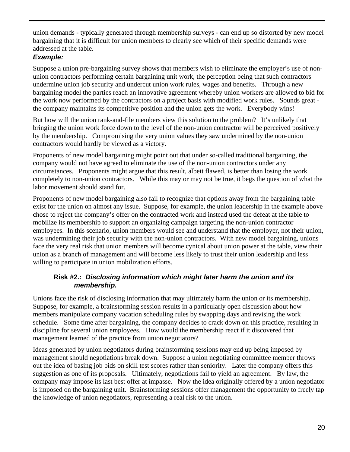union demands - typically generated through membership surveys - can end up so distorted by new model bargaining that it is difficult for union members to clearly see which of their specific demands were addressed at the table.

## *Example:*

Suppose a union pre-bargaining survey shows that members wish to eliminate the employer's use of nonunion contractors performing certain bargaining unit work, the perception being that such contractors undermine union job security and undercut union work rules, wages and benefits. Through a new bargaining model the parties reach an innovative agreement whereby union workers are allowed to bid for the work now performed by the contractors on a project basis with modified work rules. Sounds great the company maintains its competitive position and the union gets the work. Everybody wins!

But how will the union rank-and-file members view this solution to the problem? It's unlikely that bringing the union work force down to the level of the non-union contractor will be perceived positively by the membership. Compromising the very union values they saw undermined by the non-union contractors would hardly be viewed as a victory.

Proponents of new model bargaining might point out that under so-called traditional bargaining, the company would not have agreed to eliminate the use of the non-union contractors under any circumstances. Proponents might argue that this result, albeit flawed, is better than losing the work completely to non-union contractors. While this may or may not be true, it begs the question of what the labor movement should stand for.

Proponents of new model bargaining also fail to recognize that options away from the bargaining table exist for the union on almost any issue. Suppose, for example, the union leadership in the example above chose to reject the company's offer on the contracted work and instead used the defeat at the table to mobilize its membership to support an organizing campaign targeting the non-union contractor employees. In this scenario, union members would see and understand that the employer, not their union, was undermining their job security with the non-union contractors. With new model bargaining, unions face the very real risk that union members will become cynical about union power at the table, view their union as a branch of management and will become less likely to trust their union leadership and less willing to participate in union mobilization efforts.

## **Risk #2.:** *Disclosing information which might later harm the union and its membership.*

Unions face the risk of disclosing information that may ultimately harm the union or its membership. Suppose, for example, a brainstorming session results in a particularly open discussion about how members manipulate company vacation scheduling rules by swapping days and revising the work schedule. Some time after bargaining, the company decides to crack down on this practice, resulting in discipline for several union employees. How would the membership react if it discovered that management learned of the practice from union negotiators?

Ideas generated by union negotiators during brainstorming sessions may end up being imposed by management should negotiations break down. Suppose a union negotiating committee member throws out the idea of basing job bids on skill test scores rather than seniority. Later the company offers this suggestion as one of its proposals. Ultimately, negotiations fail to yield an agreement. By law, the company may impose its last best offer at impasse. Now the idea originally offered by a union negotiator is imposed on the bargaining unit. Brainstorming sessions offer management the opportunity to freely tap the knowledge of union negotiators, representing a real risk to the union.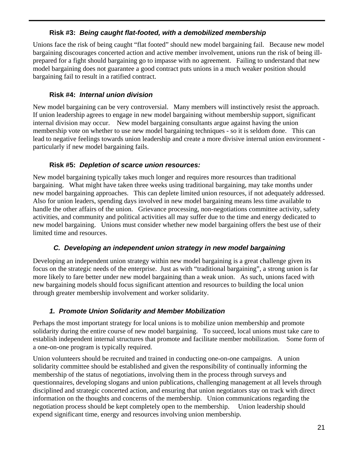## **Risk #3:** *Being caught flat-footed, with a demobilized membership*

Unions face the risk of being caught "flat footed" should new model bargaining fail. Because new model bargaining discourages concerted action and active member involvement, unions run the risk of being illprepared for a fight should bargaining go to impasse with no agreement. Failing to understand that new model bargaining does not guarantee a good contract puts unions in a much weaker position should bargaining fail to result in a ratified contract.

## **Risk #4:** *Internal union division*

New model bargaining can be very controversial. Many members will instinctively resist the approach. If union leadership agrees to engage in new model bargaining without membership support, significant internal division may occur. New model bargaining consultants argue against having the union membership vote on whether to use new model bargaining techniques - so it is seldom done. This can lead to negative feelings towards union leadership and create a more divisive internal union environment particularly if new model bargaining fails.

## **Risk #5:** *Depletion of scarce union resources:*

New model bargaining typically takes much longer and requires more resources than traditional bargaining. What might have taken three weeks using traditional bargaining, may take months under new model bargaining approaches. This can deplete limited union resources, if not adequately addressed. Also for union leaders, spending days involved in new model bargaining means less time available to handle the other affairs of the union. Grievance processing, non-negotiations committee activity, safety activities, and community and political activities all may suffer due to the time and energy dedicated to new model bargaining. Unions must consider whether new model bargaining offers the best use of their limited time and resources.

## *C. Developing an independent union strategy in new model bargaining*

Developing an independent union strategy within new model bargaining is a great challenge given its focus on the strategic needs of the enterprise. Just as with "traditional bargaining", a strong union is far more likely to fare better under new model bargaining than a weak union. As such, unions faced with new bargaining models should focus significant attention and resources to building the local union through greater membership involvement and worker solidarity.

## *1. Promote Union Solidarity and Member Mobilization*

Perhaps the most important strategy for local unions is to mobilize union membership and promote solidarity during the entire course of new model bargaining. To succeed, local unions must take care to establish independent internal structures that promote and facilitate member mobilization. Some form of a one-on-one program is typically required.

Union volunteers should be recruited and trained in conducting one-on-one campaigns. A union solidarity committee should be established and given the responsibility of continually informing the membership of the status of negotiations, involving them in the process through surveys and questionnaires, developing slogans and union publications, challenging management at all levels through disciplined and strategic concerted action, and ensuring that union negotiators stay on track with direct information on the thoughts and concerns of the membership. Union communications regarding the negotiation process should be kept completely open to the membership. Union leadership should expend significant time, energy and resources involving union membership.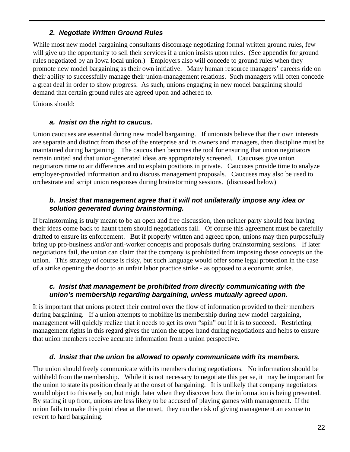## *2. Negotiate Written Ground Rules*

While most new model bargaining consultants discourage negotiating formal written ground rules, few will give up the opportunity to sell their services if a union insists upon rules. (See appendix for ground rules negotiated by an Iowa local union.) Employers also will concede to ground rules when they promote new model bargaining as their own initiative. Many human resource managers' careers ride on their ability to successfully manage their union-management relations. Such managers will often concede a great deal in order to show progress. As such, unions engaging in new model bargaining should demand that certain ground rules are agreed upon and adhered to.

Unions should:

## *a. Insist on the right to caucus.*

Union caucuses are essential during new model bargaining. If unionists believe that their own interests are separate and distinct from those of the enterprise and its owners and managers, then discipline must be maintained during bargaining. The caucus then becomes the tool for ensuring that union negotiators remain united and that union-generated ideas are appropriately screened. Caucuses give union negotiators time to air differences and to explain positions in private. Caucuses provide time to analyze employer-provided information and to discuss management proposals. Caucuses may also be used to orchestrate and script union responses during brainstorming sessions. (discussed below)

#### *b. Insist that management agree that it will not unilaterally impose any idea or solution generated during brainstorming.*

If brainstorming is truly meant to be an open and free discussion, then neither party should fear having their ideas come back to haunt them should negotiations fail. Of course this agreement must be carefully drafted to ensure its enforcement. But if properly written and agreed upon, unions may then purposefully bring up pro-business and/or anti-worker concepts and proposals during brainstorming sessions. If later negotiations fail, the union can claim that the company is prohibited from imposing those concepts on the union. This strategy of course is risky, but such language would offer some legal protection in the case of a strike opening the door to an unfair labor practice strike - as opposed to a economic strike.

## *c. Insist that management be prohibited from directly communicating with the union's membership regarding bargaining, unless mutually agreed upon.*

It is important that unions protect their control over the flow of information provided to their members during bargaining. If a union attempts to mobilize its membership during new model bargaining, management will quickly realize that it needs to get its own "spin" out if it is to succeed. Restricting management rights in this regard gives the union the upper hand during negotiations and helps to ensure that union members receive accurate information from a union perspective.

## *d. Insist that the union be allowed to openly communicate with its members.*

The union should freely communicate with its members during negotiations. No information should be withheld from the membership. While it is not necessary to negotiate this per se, it may be important for the union to state its position clearly at the onset of bargaining. It is unlikely that company negotiators would object to this early on, but might later when they discover how the information is being presented. By stating it up front, unions are less likely to be accused of playing games with management. If the union fails to make this point clear at the onset, they run the risk of giving management an excuse to revert to hard bargaining.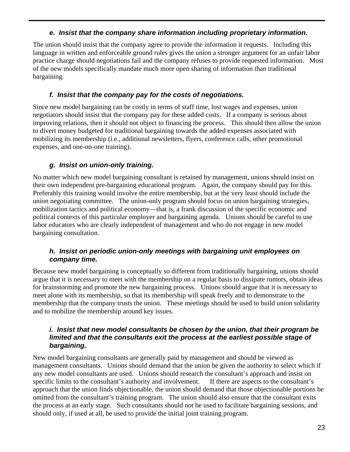## *e. Insist that the company share information including proprietary information.*

The union should insist that the company agree to provide the information it requests. Including this language in written and enforceable ground rules gives the union a stronger argument for an unfair labor practice charge should negotiations fail and the company refuses to provide requested information. Most of the new models specifically mandate much more open sharing of information than traditional bargaining.

## *f. Insist that the company pay for the costs of negotiations.*

Since new model bargaining can be costly in terms of staff time, lost wages and expenses, union negotiators should insist that the company pay for these added costs. If a company is serious about improving relations, then it should not object to financing the process. This should then allow the union to divert money budgeted for traditional bargaining towards the added expenses associated with mobilizing its membership (i.e., additional newsletters, flyers, conference calls, other promotional expenses, and one-on-one training).

## *g. Insist on union-only training.*

No matter which new model bargaining consultant is retained by management, unions should insist on their own independent pre-bargaining educational program. Again, the company should pay for this. Preferably this training would involve the entire membership, but at the very least should include the union negotiating committee. The union-only program should focus on union bargaining strategies, mobilization tactics and political economy—that is, a frank discussion of the specific economic and political contexts of this particular employer and bargaining agenda. Unions should be careful to use labor educators who are clearly independent of management and who do not engage in new model bargaining consultation.

## *h. Insist on periodic union-only meetings with bargaining unit employees on company time.*

Because new model bargaining is conceptually so different from traditionally bargaining, unions should argue that it is necessary to meet with the membership on a regular basis to dissipate rumors, obtain ideas for brainstorming and promote the new bargaining process. Unions should argue that it is necessary to meet alone with its membership, so that its membership will speak freely and to demonstrate to the membership that the company trusts the union. These meetings should be used to build union solidarity and to mobilize the membership around key issues.

#### *i. Insist that new model consultants be chosen by the union, that their program be limited and that the consultants exit the process at the earliest possible stage of bargaining.*

New model bargaining consultants are generally paid by management and should be viewed as management consultants. Unions should demand that the union be given the authority to select which if any new model consultants are used. Unions should research the consultant's approach and insist on specific limits to the consultant's authority and involvement. If there are aspects to the consultant's approach that the union finds objectionable, the union should demand that those objectionable portions be omitted from the consultant's training program. The union should also ensure that the consultant exits the process at an early stage. Such consultants should not be used to facilitate bargaining sessions, and should only, if used at all, be used to provide the initial joint training program.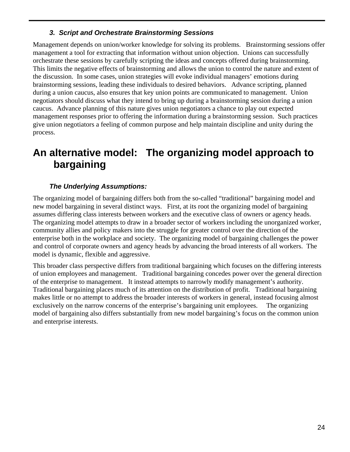## *3. Script and Orchestrate Brainstorming Sessions*

Management depends on union/worker knowledge for solving its problems. Brainstorming sessions offer management a tool for extracting that information without union objection. Unions can successfully orchestrate these sessions by carefully scripting the ideas and concepts offered during brainstorming. This limits the negative effects of brainstorming and allows the union to control the nature and extent of the discussion. In some cases, union strategies will evoke individual managers' emotions during brainstorming sessions, leading these individuals to desired behaviors. Advance scripting, planned during a union caucus, also ensures that key union points are communicated to management. Union negotiators should discuss what they intend to bring up during a brainstorming session during a union caucus. Advance planning of this nature gives union negotiators a chance to play out expected management responses prior to offering the information during a brainstorming session. Such practices give union negotiators a feeling of common purpose and help maintain discipline and unity during the process.

## **An alternative model: The organizing model approach to bargaining**

## *The Underlying Assumptions:*

The organizing model of bargaining differs both from the so-called "traditional" bargaining model and new model bargaining in several distinct ways. First, at its root the organizing model of bargaining assumes differing class interests between workers and the executive class of owners or agency heads. The organizing model attempts to draw in a broader sector of workers including the unorganized worker, community allies and policy makers into the struggle for greater control over the direction of the enterprise both in the workplace and society. The organizing model of bargaining challenges the power and control of corporate owners and agency heads by advancing the broad interests of all workers. The model is dynamic, flexible and aggressive.

This broader class perspective differs from traditional bargaining which focuses on the differing interests of union employees and management. Traditional bargaining concedes power over the general direction of the enterprise to management. It instead attempts to narrowly modify management's authority. Traditional bargaining places much of its attention on the distribution of profit. Traditional bargaining makes little or no attempt to address the broader interests of workers in general, instead focusing almost exclusively on the narrow concerns of the enterprise's bargaining unit employees. The organizing model of bargaining also differs substantially from new model bargaining's focus on the common union and enterprise interests.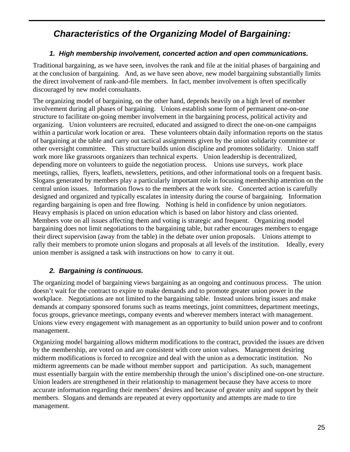## *Characteristics of the Organizing Model of Bargaining:*

## *1. High membership involvement, concerted action and open communications.*

Traditional bargaining, as we have seen, involves the rank and file at the initial phases of bargaining and at the conclusion of bargaining. And, as we have seen above, new model bargaining substantially limits the direct involvement of rank-and-file members. In fact, member involvement is often specifically discouraged by new model consultants.

The organizing model of bargaining, on the other hand, depends heavily on a high level of member involvement during all phases of bargaining. Unions establish some form of permanent one-on-one structure to facilitate on-going member involvement in the bargaining process, political activity and organizing. Union volunteers are recruited, educated and assigned to direct the one-on-one campaigns within a particular work location or area. These volunteers obtain daily information reports on the status of bargaining at the table and carry out tactical assignments given by the union solidarity committee or other oversight committee. This structure builds union discipline and promotes solidarity. Union staff work more like grassroots organizers than technical experts. Union leadership is decentralized, depending more on volunteers to guide the negotiation process. Unions use surveys, work place meetings, rallies, flyers, leaflets, newsletters, petitions, and other informational tools on a frequent basis. Slogans generated by members play a particularly important role in focusing membership attention on the central union issues. Information flows to the members at the work site. Concerted action is carefully designed and organized and typically escalates in intensity during the course of bargaining. Information regarding bargaining is open and free flowing. Nothing is held in confidence by union negotiators. Heavy emphasis is placed on union education which is based on labor history and class oriented. Members vote on all issues affecting them and voting is strategic and frequent. Organizing model bargaining does not limit negotiations to the bargaining table, but rather encourages members to engage their direct supervision (away from the table) in the debate over union proposals. Unions attempt to rally their members to promote union slogans and proposals at all levels of the institution. Ideally, every union member is assigned a task with instructions on how to carry it out.

## *2. Bargaining is continuous.*

The organizing model of bargaining views bargaining as an ongoing and continuous process. The union doesn't wait for the contract to expire to make demands and to promote greater union power in the workplace. Negotiations are not limited to the bargaining table. Instead unions bring issues and make demands at company sponsored forums such as teams meetings, joint committees, department meetings, focus groups, grievance meetings, company events and wherever members interact with management. Unions view every engagement with management as an opportunity to build union power and to confront management.

Organizing model bargaining allows midterm modifications to the contract, provided the issues are driven by the membership, are voted on and are consistent with core union values. Management desiring midterm modifications is forced to recognize and deal with the union as a democratic institution. No midterm agreements can be made without member support and participation. As such, management must essentially bargain with the entire membership through the union's disciplined one-on-one structure. Union leaders are strengthened in their relationship to management because they have access to more accurate information regarding their members' desires and because of greater unity and support by their members. Slogans and demands are repeated at every opportunity and attempts are made to tire management.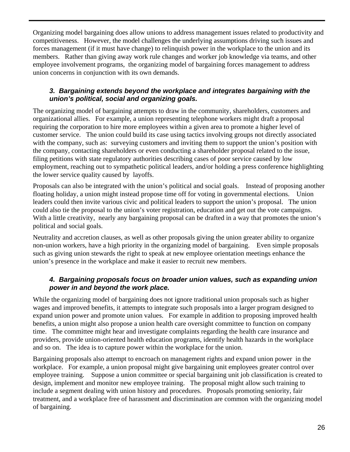Organizing model bargaining does allow unions to address management issues related to productivity and competitiveness. However, the model challenges the underlying assumptions driving such issues and forces management (if it must have change) to relinquish power in the workplace to the union and its members. Rather than giving away work rule changes and worker job knowledge via teams, and other employee involvement programs, the organizing model of bargaining forces management to address union concerns in conjunction with its own demands.

## *3. Bargaining extends beyond the workplace and integrates bargaining with the union's political, social and organizing goals.*

The organizing model of bargaining attempts to draw in the community, shareholders, customers and organizational allies. For example, a union representing telephone workers might draft a proposal requiring the corporation to hire more employees within a given area to promote a higher level of customer service. The union could build its case using tactics involving groups not directly associated with the company, such as: surveying customers and inviting them to support the union's position with the company, contacting shareholders or even conducting a shareholder proposal related to the issue, filing petitions with state regulatory authorities describing cases of poor service caused by low employment, reaching out to sympathetic political leaders, and/or holding a press conference highlighting the lower service quality caused by layoffs.

Proposals can also be integrated with the union's political and social goals. Instead of proposing another floating holiday, a union might instead propose time off for voting in governmental elections. Union leaders could then invite various civic and political leaders to support the union's proposal. The union could also tie the proposal to the union's voter registration, education and get out the vote campaigns. With a little creativity, nearly any bargaining proposal can be drafted in a way that promotes the union's political and social goals.

Neutrality and accretion clauses, as well as other proposals giving the union greater ability to organize non-union workers, have a high priority in the organizing model of bargaining. Even simple proposals such as giving union stewards the right to speak at new employee orientation meetings enhance the union's presence in the workplace and make it easier to recruit new members.

## *4. Bargaining proposals focus on broader union values, such as expanding union power in and beyond the work place.*

While the organizing model of bargaining does not ignore traditional union proposals such as higher wages and improved benefits, it attempts to integrate such proposals into a larger program designed to expand union power and promote union values. For example in addition to proposing improved health benefits, a union might also propose a union health care oversight committee to function on company time. The committee might hear and investigate complaints regarding the health care insurance and providers, provide union-oriented health education programs, identify health hazards in the workplace and so on. The idea is to capture power within the workplace for the union.

Bargaining proposals also attempt to encroach on management rights and expand union power in the workplace. For example, a union proposal might give bargaining unit employees greater control over employee training. Suppose a union committee or special bargaining unit job classification is created to design, implement and monitor new employee training. The proposal might allow such training to include a segment dealing with union history and procedures. Proposals promoting seniority, fair treatment, and a workplace free of harassment and discrimination are common with the organizing model of bargaining.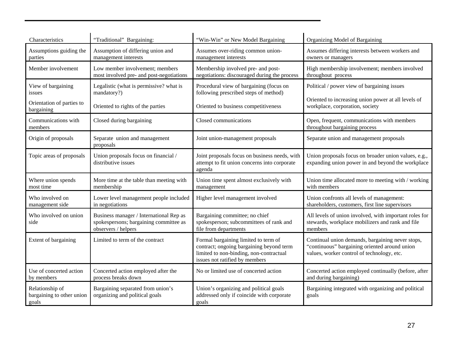| Characteristics                                       | "Traditional" Bargaining:                                                                                | "Win-Win" or New Model Bargaining                                                                                                                             | Organizing Model of Bargaining                                                                                                                  |
|-------------------------------------------------------|----------------------------------------------------------------------------------------------------------|---------------------------------------------------------------------------------------------------------------------------------------------------------------|-------------------------------------------------------------------------------------------------------------------------------------------------|
| Assumptions guiding the<br>parties                    | Assumption of differing union and<br>management interests                                                | Assumes over-riding common union-<br>management interests                                                                                                     | Assumes differing interests between workers and<br>owners or managers                                                                           |
| Member involvement                                    | Low member involvement; members<br>most involved pre- and post-negotiations                              | Membership involved pre- and post-<br>negotiations: discouraged during the process                                                                            | High membership involvement; members involved<br>throughout process                                                                             |
| View of bargaining<br>issues                          | Legalistic (what is permissive? what is<br>mandatory?)                                                   | Procedural view of bargaining (focus on<br>following prescribed steps of method)                                                                              | Political / power view of bargaining issues                                                                                                     |
| Orientation of parties to<br>bargaining               | Oriented to rights of the parties                                                                        | Oriented to business competitiveness                                                                                                                          | Oriented to increasing union power at all levels of<br>workplace, corporation, society                                                          |
| Communications with<br>members                        | Closed during bargaining                                                                                 | Closed communications                                                                                                                                         | Open, frequent, communications with members<br>throughout bargaining process                                                                    |
| Origin of proposals                                   | Separate union and management<br>proposals                                                               | Joint union-management proposals                                                                                                                              | Separate union and management proposals                                                                                                         |
| Topic areas of proposals                              | Union proposals focus on financial /<br>distributive issues                                              | Joint proposals focus on business needs, with<br>attempt to fit union concerns into corporate<br>agenda                                                       | Union proposals focus on broader union values, e.g.,<br>expanding union power in and beyond the workplace                                       |
| Where union spends<br>most time                       | More time at the table than meeting with<br>membership                                                   | Union time spent almost exclusively with<br>management                                                                                                        | Union time allocated more to meeting with / working<br>with members                                                                             |
| Who involved on<br>management side                    | Lower level management people included<br>in negotiations                                                | Higher level management involved                                                                                                                              | Union confronts all levels of management:<br>shareholders, customers, first line supervisors                                                    |
| Who involved on union<br>side                         | Business manager / International Rep as<br>spokespersons; bargaining committee as<br>observers / helpers | Bargaining committee; no chief<br>spokesperson; subcommittees of rank and<br>file from departments                                                            | All levels of union involved, with important roles for<br>stewards, workplace mobilizers and rank and file<br>members                           |
| Extent of bargaining                                  | Limited to term of the contract                                                                          | Formal bargaining limited to term of<br>contract; ongoing bargaining beyond term<br>limited to non-binding, non-contractual<br>issues not ratified by members | Continual union demands, bargaining never stops,<br>"continuous" bargaining oriented around union<br>values, worker control of technology, etc. |
| Use of concerted action<br>by members                 | Concerted action employed after the<br>process breaks down                                               | No or limited use of concerted action                                                                                                                         | Concerted action employed continually (before, after<br>and during bargaining)                                                                  |
| Relationship of<br>bargaining to other union<br>goals | Bargaining separated from union's<br>organizing and political goals                                      | Union's organizing and political goals<br>addressed only if coincide with corporate<br>goals                                                                  | Bargaining integrated with organizing and political<br>goals                                                                                    |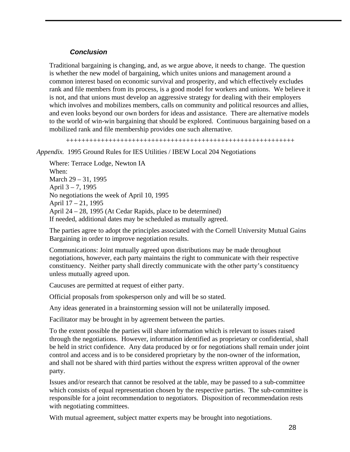#### *Conclusion*

Traditional bargaining is changing, and, as we argue above, it needs to change. The question is whether the new model of bargaining, which unites unions and management around a common interest based on economic survival and prosperity, and which effectively excludes rank and file members from its process, is a good model for workers and unions. We believe it is not, and that unions must develop an aggressive strategy for dealing with their employers which involves and mobilizes members, calls on community and political resources and allies, and even looks beyond our own borders for ideas and assistance. There are alternative models to the world of win-win bargaining that should be explored. Continuous bargaining based on a mobilized rank and file membership provides one such alternative.

+++++++++++++++++++++++++++++++++++++++++++++++++++++++++++

#### *Appendix.* 1995 Ground Rules for IES Utilities / IBEW Local 204 Negotiations

Where: Terrace Lodge, Newton IA When: March 29 – 31, 1995 April 3 – 7, 1995 No negotiations the week of April 10, 1995 April 17 – 21, 1995 April 24 – 28, 1995 (At Cedar Rapids, place to be determined) If needed, additional dates may be scheduled as mutually agreed.

The parties agree to adopt the principles associated with the Cornell University Mutual Gains Bargaining in order to improve negotiation results.

Communications: Joint mutually agreed upon distributions may be made throughout negotiations, however, each party maintains the right to communicate with their respective constituency. Neither party shall directly communicate with the other party's constituency unless mutually agreed upon.

Caucuses are permitted at request of either party.

Official proposals from spokesperson only and will be so stated.

Any ideas generated in a brainstorming session will not be unilaterally imposed.

Facilitator may be brought in by agreement between the parties.

To the extent possible the parties will share information which is relevant to issues raised through the negotiations. However, information identified as proprietary or confidential, shall be held in strict confidence. Any data produced by or for negotiations shall remain under joint control and access and is to be considered proprietary by the non-owner of the information, and shall not be shared with third parties without the express written approval of the owner party.

Issues and/or research that cannot be resolved at the table, may be passed to a sub-committee which consists of equal representation chosen by the respective parties. The sub-committee is responsible for a joint recommendation to negotiators. Disposition of recommendation rests with negotiating committees.

With mutual agreement, subject matter experts may be brought into negotiations.